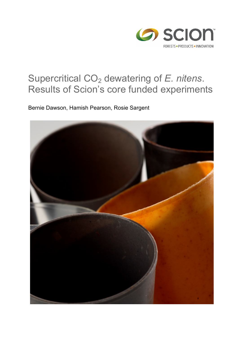

# Supercritical CO<sub>2</sub> dewatering of *E. nitens*. Results of Scion's core funded experiments

Bernie Dawson, Hamish Pearson, Rosie Sargent

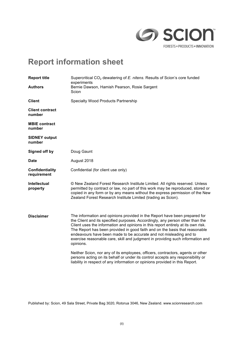

# **Report information sheet**

| <b>Report title</b>              | Supercritical CO <sub>2</sub> dewatering of E. nitens. Results of Scion's core funded<br>experiments                                                                                                                                                                                                                                                                                                                                                                                                 |
|----------------------------------|------------------------------------------------------------------------------------------------------------------------------------------------------------------------------------------------------------------------------------------------------------------------------------------------------------------------------------------------------------------------------------------------------------------------------------------------------------------------------------------------------|
| <b>Authors</b>                   | Bernie Dawson, Hamish Pearson, Rosie Sargent<br>Scion                                                                                                                                                                                                                                                                                                                                                                                                                                                |
| <b>Client</b>                    | <b>Specialty Wood Products Partnership</b>                                                                                                                                                                                                                                                                                                                                                                                                                                                           |
| <b>Client contract</b><br>number |                                                                                                                                                                                                                                                                                                                                                                                                                                                                                                      |
| <b>MBIE contract</b><br>number   |                                                                                                                                                                                                                                                                                                                                                                                                                                                                                                      |
| <b>SIDNEY output</b><br>number   |                                                                                                                                                                                                                                                                                                                                                                                                                                                                                                      |
| Signed off by                    | Doug Gaunt                                                                                                                                                                                                                                                                                                                                                                                                                                                                                           |
| <b>Date</b>                      | August 2018                                                                                                                                                                                                                                                                                                                                                                                                                                                                                          |
| Confidentiality<br>requirement   | Confidential (for client use only)                                                                                                                                                                                                                                                                                                                                                                                                                                                                   |
| <b>Intellectual</b><br>property  | © New Zealand Forest Research Institute Limited. All rights reserved. Unless<br>permitted by contract or law, no part of this work may be reproduced, stored or<br>copied in any form or by any means without the express permission of the New<br>Zealand Forest Research Institute Limited (trading as Scion).                                                                                                                                                                                     |
| <b>Disclaimer</b>                | The information and opinions provided in the Report have been prepared for<br>the Client and its specified purposes. Accordingly, any person other than the<br>Client uses the information and opinions in this report entirely at its own risk.<br>The Report has been provided in good faith and on the basis that reasonable<br>endeavours have been made to be accurate and not misleading and to<br>exercise reasonable care, skill and judgment in providing such information and<br>opinions. |
|                                  | Neither Scion, nor any of its employees, officers, contractors, agents or other<br>persons acting on its behalf or under its control accepts any responsibility or<br>liability in respect of any information or opinions provided in this Report.                                                                                                                                                                                                                                                   |

Published by: Scion, 49 Sala Street, Private Bag 3020, Rotorua 3046, New Zealand. www.scionresearch.com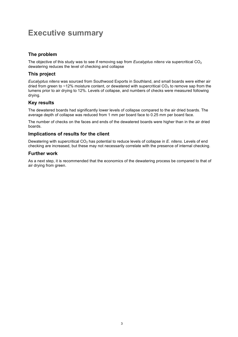# **Executive summary**

### **The problem**

The objective of this study was to see if removing sap from *Eucalyptus nitens* via supercritical CO<sub>2</sub> dewatering reduces the level of checking and collapse

### **This project**

*Eucalyptus nitens* was sourced from Southwood Exports in Southland, and small boards were either air dried from green to ~12% moisture content, or dewatered with supercritical  $CO<sub>2</sub>$  to remove sap from the lumens prior to air drying to 12%. Levels of collapse, and numbers of checks were measured following drying.

### **Key results**

The dewatered boards had significantly lower levels of collapse compared to the air dried boards. The average depth of collapse was reduced from 1 mm per board face to 0.25 mm per board face.

The number of checks on the faces and ends of the dewatered boards were higher than in the air dried boards.

#### **Implications of results for the client**

Dewatering with supercritical CO<sub>2</sub> has potential to reduce levels of collapse in *E. nitens*. Levels of end checking are increased, but these may not necessarily correlate with the presence of internal checking.

#### **Further work**

As a next step, it is recommended that the economics of the dewatering process be compared to that of air drying from green.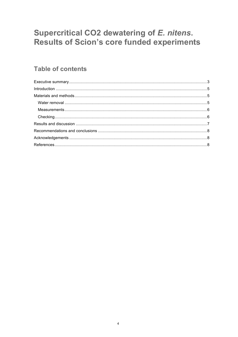# Supercritical CO2 dewatering of E. nitens. Results of Scion's core funded experiments

### **Table of contents**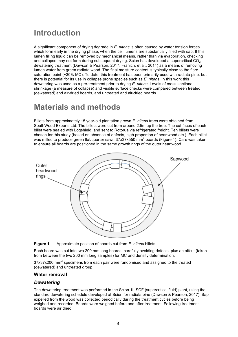### **Introduction**

A significant component of drying degrade in *E. nitens* is often caused by water tension forces which form early in the drying phase, when the cell lumens are substantially filled with sap. If this lumen filling liquid can be removed by mechanical means, rather than via evaporation, checking and collapse may not form during subsequent drying. Scion has developed a supercritical  $CO<sub>2</sub>$ dewatering treatment (Dawson & Pearson, 2017; Franich, et al., 2014) as a means of removing lumen water from green radiata wood. The final moisture content is typically close to the fibre saturation point (~30% MC). To date, this treatment has been primarily used with radiata pine, but there is potential for its use in collapse prone species such as *E. nitens*. In this work this dewatering was used as a pre-treatment prior to drying *E. nitens*. Levels of cross sectional shrinkage (a measure of collapse) and visible surface checks were compared between treated (dewatered) and air-dried boards, and untreated and air-dried boards.

# **Materials and methods**

Billets from approximately 15 year-old plantation grown *E. nitens* trees were obtained from SouthWood Exports Ltd. The billets were cut from around 2.5m up the tree. The cut faces of each billet were sealed with Logshield, and sent to Rotorua via refrigerated freight. Ten billets were chosen for this study (based on absence of defects, high proportion of heartwood etc.). Each billet was milled to produce green flat/quarter sawn 37x37x550 mm<sup>3</sup> boards (Figure 1). Care was taken to ensure all boards are positioned in the same growth rings of the outer heartwood.





Each board was cut into two 200 mm long boards, carefully avoiding defects, plus an offcut (taken from between the two 200 mm long samples) for MC and density determination.

37x37x200 mm<sup>3</sup> specimens from each pair were randomised and assigned to the treated (dewatered) and untreated group.

#### **Water removal**

#### *Dewatering*

The dewatering treatment was performed in the Scion 1L SCF (supercritical fluid) plant, using the standard dewatering schedule developed at Scion for radiata pine (Dawson & Pearson, 2017). Sap expelled from the wood was collected periodically during the treatment cycles before being weighed and recorded. Boards were weighed before and after treatment. Following treatment, boards were air dried.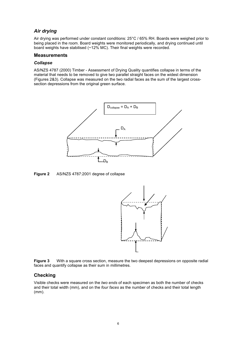### *Air drying*

Air drying was performed under constant conditions: 25°C / 65% RH. Boards were weighed prior to being placed in the room. Board weights were monitored periodically, and drying continued until board weights have stabilised (~12% MC). Their final weights were recorded.

#### **Measurements**

#### *Collapse*

AS/NZS 4787 (2000) Timber - Assessment of Drying Quality quantifies collapse in terms of the material that needs to be removed to give two parallel straight faces on the widest dimension (Figures 2&3). Collapse was measured on the two radial faces as the sum of the largest crosssection depressions from the original green surface.



**Figure 2** AS/NZS 4787:2001 degree of collapse





#### **Checking**

Visible checks were measured on the *two ends* of each specimen as both the number of checks and their total width (mm), and on the *four faces* as the number of checks and their total length (mm).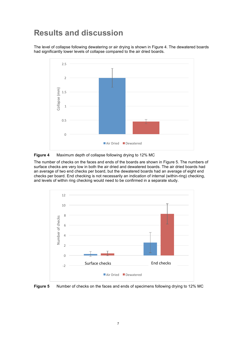### **Results and discussion**

The level of collapse following dewatering or air drying is shown in Figure 4. The dewatered boards had significantly lower levels of collapse compared to the air dried boards.



**Figure 4** Maximum depth of collapse following drying to 12% MC

The number of checks on the faces and ends of the boards are shown in Figure 5. The numbers of surface checks are very low in both the air dried and dewatered boards. The air dried boards had an average of two end checks per board, but the dewatered boards had an average of eight end checks per board. End checking is not necessarily an indication of internal (within-ring) checking, and levels of within ring checking would need to be confirmed in a separate study.



**Figure 5** Number of checks on the faces and ends of specimens following drying to 12% MC